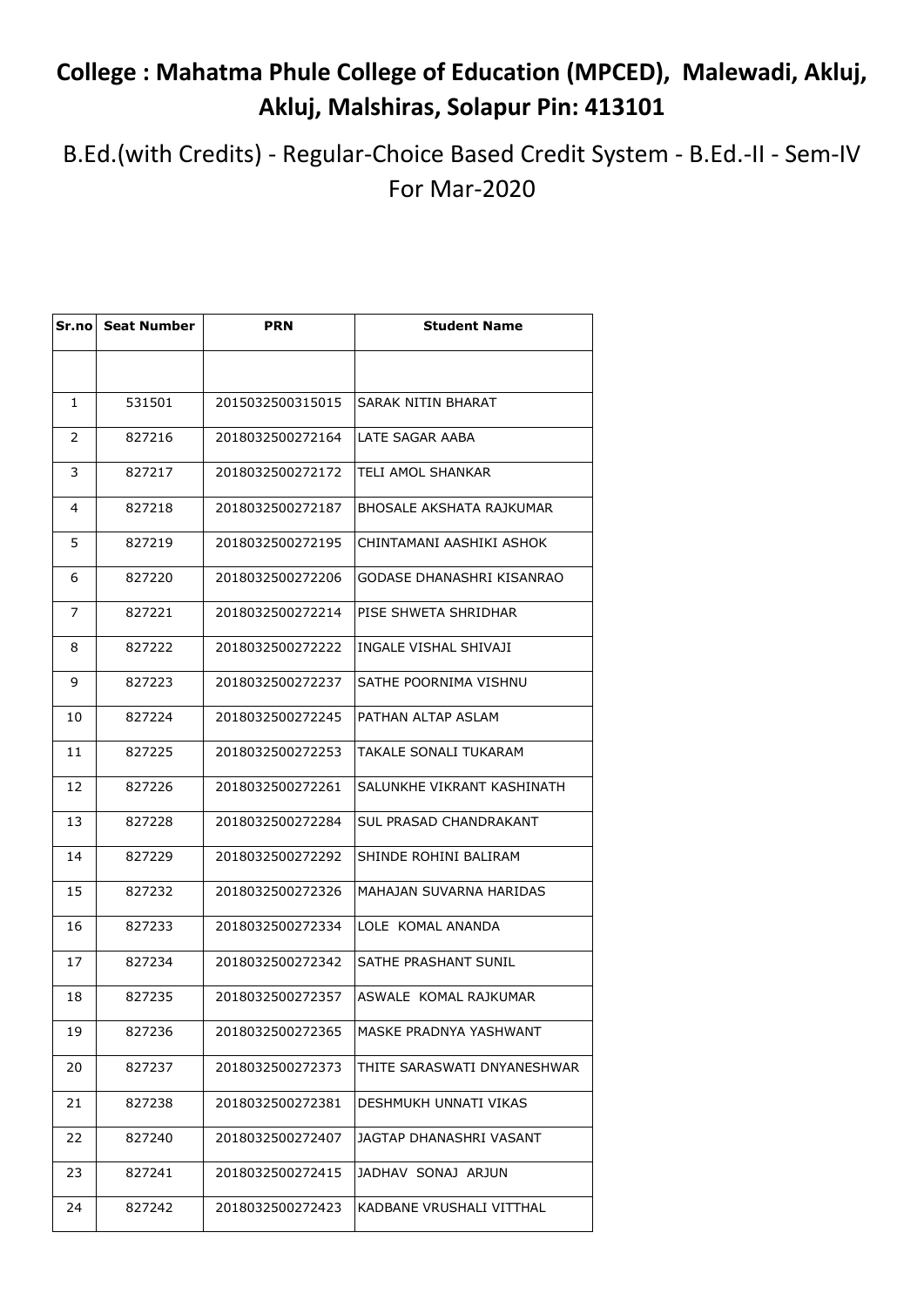## **College : Mahatma Phule College of Education (MPCED), Malewadi, Akluj, Akluj, Malshiras, Solapur Pin: 413101**

B.Ed.(with Credits) - Regular-Choice Based Credit System - B.Ed.-II - Sem-IV For Mar-2020

|    | Sr.no Seat Number | <b>PRN</b>       | <b>Student Name</b>         |
|----|-------------------|------------------|-----------------------------|
|    |                   |                  |                             |
| 1  | 531501            | 2015032500315015 | SARAK NITIN BHARAT          |
| 2  | 827216            | 2018032500272164 | LATE SAGAR AABA             |
| 3  | 827217            | 2018032500272172 | TELI AMOL SHANKAR           |
| 4  | 827218            | 2018032500272187 | BHOSALE AKSHATA RAJKUMAR    |
| 5  | 827219            | 2018032500272195 | CHINTAMANI AASHIKI ASHOK    |
| 6  | 827220            | 2018032500272206 | GODASE DHANASHRI KISANRAO   |
| 7  | 827221            | 2018032500272214 | PISE SHWETA SHRIDHAR        |
| 8  | 827222            | 2018032500272222 | INGALE VISHAL SHIVAJI       |
| 9  | 827223            | 2018032500272237 | SATHE POORNIMA VISHNU       |
| 10 | 827224            | 2018032500272245 | PATHAN ALTAP ASLAM          |
| 11 | 827225            | 2018032500272253 | TAKALE SONALI TUKARAM       |
| 12 | 827226            | 2018032500272261 | SALUNKHE VIKRANT KASHINATH  |
| 13 | 827228            | 2018032500272284 | SUL PRASAD CHANDRAKANT      |
| 14 | 827229            | 2018032500272292 | SHINDE ROHINI BALIRAM       |
| 15 | 827232            | 2018032500272326 | MAHAJAN SUVARNA HARIDAS     |
| 16 | 827233            | 2018032500272334 | LOLE KOMAL ANANDA           |
| 17 | 827234            | 2018032500272342 | SATHE PRASHANT SUNIL        |
| 18 | 827235            | 2018032500272357 | ASWALE KOMAL RAJKUMAR       |
| 19 | 827236            | 2018032500272365 | MASKE PRADNYA YASHWANT      |
| 20 | 827237            | 2018032500272373 | THITE SARASWATI DNYANESHWAR |
| 21 | 827238            | 2018032500272381 | DESHMUKH UNNATI VIKAS       |
| 22 | 827240            | 2018032500272407 | JAGTAP DHANASHRI VASANT     |
| 23 | 827241            | 2018032500272415 | JADHAV SONAJ ARJUN          |
| 24 | 827242            | 2018032500272423 | KADBANE VRUSHALI VITTHAL    |